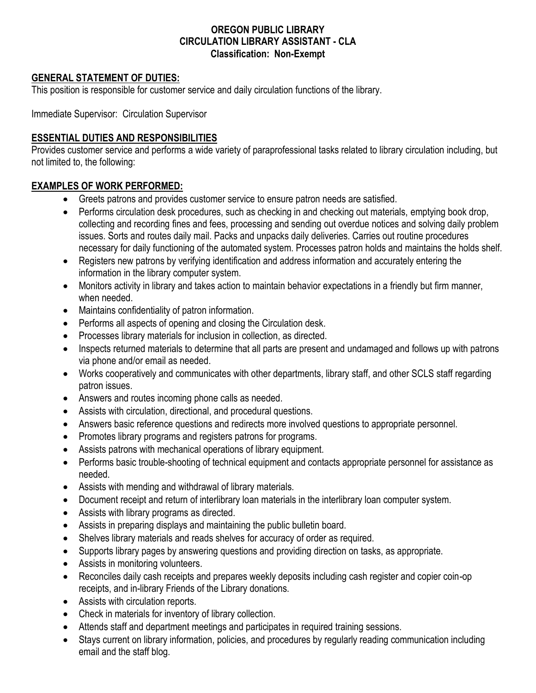#### **OREGON PUBLIC LIBRARY CIRCULATION LIBRARY ASSISTANT - CLA Classification: Non-Exempt**

#### **GENERAL STATEMENT OF DUTIES:**

This position is responsible for customer service and daily circulation functions of the library.

Immediate Supervisor: Circulation Supervisor

#### **ESSENTIAL DUTIES AND RESPONSIBILITIES**

Provides customer service and performs a wide variety of paraprofessional tasks related to library circulation including, but not limited to, the following:

#### **EXAMPLES OF WORK PERFORMED:**

- Greets patrons and provides customer service to ensure patron needs are satisfied.
- Performs circulation desk procedures, such as checking in and checking out materials, emptying book drop, collecting and recording fines and fees, processing and sending out overdue notices and solving daily problem issues. Sorts and routes daily mail. Packs and unpacks daily deliveries. Carries out routine procedures necessary for daily functioning of the automated system. Processes patron holds and maintains the holds shelf.
- Registers new patrons by verifying identification and address information and accurately entering the information in the library computer system.
- Monitors activity in library and takes action to maintain behavior expectations in a friendly but firm manner, when needed.
- Maintains confidentiality of patron information.
- Performs all aspects of opening and closing the Circulation desk.
- Processes library materials for inclusion in collection, as directed.
- Inspects returned materials to determine that all parts are present and undamaged and follows up with patrons via phone and/or email as needed.
- Works cooperatively and communicates with other departments, library staff, and other SCLS staff regarding patron issues.
- Answers and routes incoming phone calls as needed.
- Assists with circulation, directional, and procedural questions.
- Answers basic reference questions and redirects more involved questions to appropriate personnel.
- Promotes library programs and registers patrons for programs.
- Assists patrons with mechanical operations of library equipment.
- Performs basic trouble-shooting of technical equipment and contacts appropriate personnel for assistance as needed.
- Assists with mending and withdrawal of library materials.
- Document receipt and return of interlibrary loan materials in the interlibrary loan computer system.
- Assists with library programs as directed.
- Assists in preparing displays and maintaining the public bulletin board.
- Shelves library materials and reads shelves for accuracy of order as required.
- Supports library pages by answering questions and providing direction on tasks, as appropriate.
- Assists in monitoring volunteers.
- Reconciles daily cash receipts and prepares weekly deposits including cash register and copier coin-op receipts, and in-library Friends of the Library donations.
- Assists with circulation reports.
- Check in materials for inventory of library collection.
- Attends staff and department meetings and participates in required training sessions.
- Stays current on library information, policies, and procedures by regularly reading communication including email and the staff blog.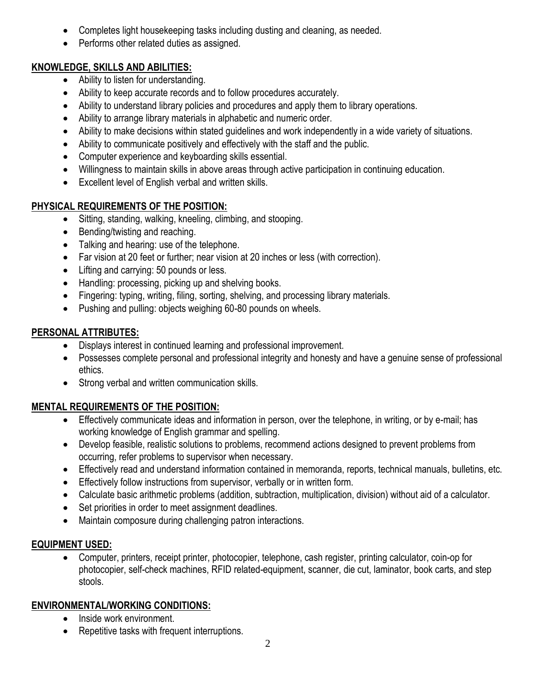- Completes light housekeeping tasks including dusting and cleaning, as needed.
- Performs other related duties as assigned.

### **KNOWLEDGE, SKILLS AND ABILITIES:**

- Ability to listen for understanding.
- Ability to keep accurate records and to follow procedures accurately.
- Ability to understand library policies and procedures and apply them to library operations.
- Ability to arrange library materials in alphabetic and numeric order.
- Ability to make decisions within stated guidelines and work independently in a wide variety of situations.
- Ability to communicate positively and effectively with the staff and the public.
- Computer experience and keyboarding skills essential.
- Willingness to maintain skills in above areas through active participation in continuing education.
- Excellent level of English verbal and written skills.

# **PHYSICAL REQUIREMENTS OF THE POSITION:**

- Sitting, standing, walking, kneeling, climbing, and stooping.
- Bending/twisting and reaching.
- Talking and hearing: use of the telephone.
- Far vision at 20 feet or further; near vision at 20 inches or less (with correction).
- Lifting and carrying: 50 pounds or less.
- Handling: processing, picking up and shelving books.
- Fingering: typing, writing, filing, sorting, shelving, and processing library materials.
- Pushing and pulling: objects weighing 60-80 pounds on wheels.

# **PERSONAL ATTRIBUTES:**

- Displays interest in continued learning and professional improvement.
- Possesses complete personal and professional integrity and honesty and have a genuine sense of professional ethics.
- Strong verbal and written communication skills.

# **MENTAL REQUIREMENTS OF THE POSITION:**

- Effectively communicate ideas and information in person, over the telephone, in writing, or by e-mail; has working knowledge of English grammar and spelling.
- Develop feasible, realistic solutions to problems, recommend actions designed to prevent problems from occurring, refer problems to supervisor when necessary.
- Effectively read and understand information contained in memoranda, reports, technical manuals, bulletins, etc.
- Effectively follow instructions from supervisor, verbally or in written form.
- Calculate basic arithmetic problems (addition, subtraction, multiplication, division) without aid of a calculator.
- Set priorities in order to meet assignment deadlines.
- Maintain composure during challenging patron interactions.

# **EQUIPMENT USED:**

 Computer, printers, receipt printer, photocopier, telephone, cash register, printing calculator, coin-op for photocopier, self-check machines, RFID related-equipment, scanner, die cut, laminator, book carts, and step stools.

### **ENVIRONMENTAL/WORKING CONDITIONS:**

- Inside work environment.
- Repetitive tasks with frequent interruptions.